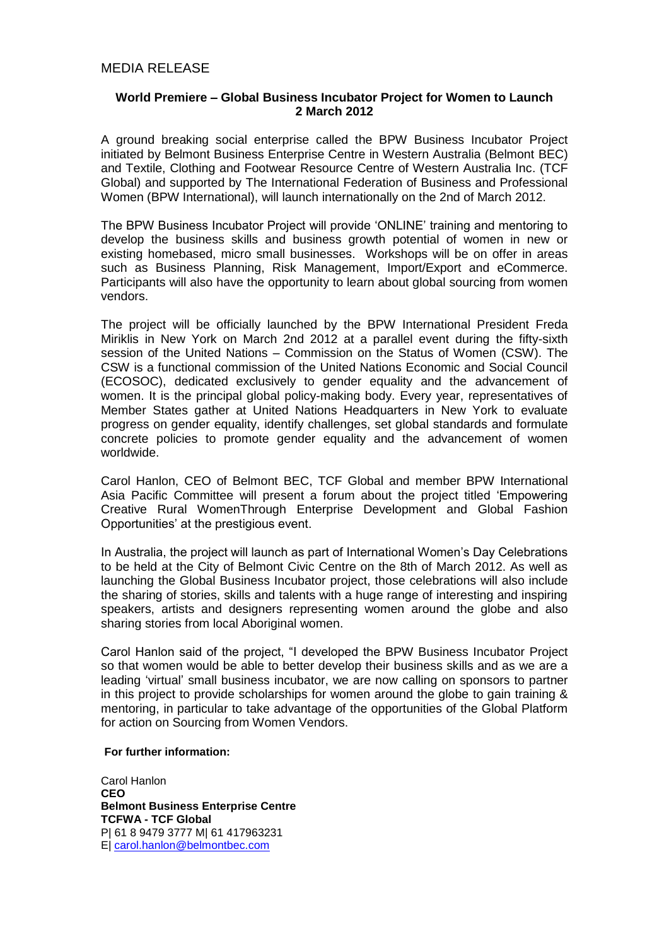# **World Premiere – Global Business Incubator Project for Women to Launch 2 March 2012**

A ground breaking social enterprise called the BPW Business Incubator Project initiated by Belmont Business Enterprise Centre in Western Australia (Belmont BEC) and Textile, Clothing and Footwear Resource Centre of Western Australia Inc. (TCF Global) and supported by The International Federation of Business and Professional Women (BPW International), will launch internationally on the 2nd of March 2012.

The BPW Business Incubator Project will provide 'ONLINE' training and mentoring to develop the business skills and business growth potential of women in new or existing homebased, micro small businesses. Workshops will be on offer in areas such as Business Planning, Risk Management, Import/Export and eCommerce. Participants will also have the opportunity to learn about global sourcing from women vendors.

The project will be officially launched by the BPW International President Freda Miriklis in New York on March 2nd 2012 at a parallel event during the fifty-sixth session of the United Nations – Commission on the Status of Women (CSW). The CSW is a functional commission of the United Nations Economic and Social Council (ECOSOC), dedicated exclusively to gender equality and the advancement of women. It is the principal global policy-making body. Every year, representatives of Member States gather at United Nations Headquarters in New York to evaluate progress on gender equality, identify challenges, set global standards and formulate concrete policies to promote gender equality and the advancement of women worldwide.

Carol Hanlon, CEO of Belmont BEC, TCF Global and member BPW International Asia Pacific Committee will present a forum about the project titled 'Empowering Creative Rural WomenThrough Enterprise Development and Global Fashion Opportunities' at the prestigious event.

In Australia, the project will launch as part of International Women's Day Celebrations to be held at the City of Belmont Civic Centre on the 8th of March 2012. As well as launching the Global Business Incubator project, those celebrations will also include the sharing of stories, skills and talents with a huge range of interesting and inspiring speakers, artists and designers representing women around the globe and also sharing stories from local Aboriginal women.

Carol Hanlon said of the project, "I developed the BPW Business Incubator Project so that women would be able to better develop their business skills and as we are a leading 'virtual' small business incubator, we are now calling on sponsors to partner in this project to provide scholarships for women around the globe to gain training & mentoring, in particular to take advantage of the opportunities of the Global Platform for action on Sourcing from Women Vendors.

## **For further information:**

Carol Hanlon **CEO Belmont Business Enterprise Centre TCFWA - TCF Global**  P| 61 8 9479 3777 M| 61 417963231 E| [carol.hanlon@belmontbec.com](mailto:carol.hanlon@belmontbec.com)